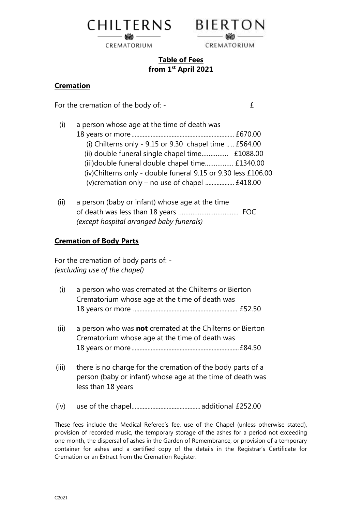

CREMATORIUM



## **Table of Fees from 1 st April 2021**

## **Cremation**

For the cremation of the body of:  $\qquad \qquad \text{if}$ 

- (i) a person whose age at the time of death was 18 years or more................................................................ £670.00 (i) Chilterns only -  $9.15$  or  $9.30$  chapel time  $\dots$  £564.00 (ii) double funeral single chapel time…………… £1088.00 (iii)double funeral double chapel time……………. £1340.00 (iv)Chilterns only - double funeral 9.15 or 9.30 less £106.00 (v)cremation only – no use of chapel .................. £418.00
- (ii) a person (baby or infant) whose age at the time of death was less than 18 years ……………………………. FOC *(except hospital arranged baby funerals)*

## **Cremation of Body Parts**

For the cremation of body parts of: - *(excluding use of the chapel)*

- (i) a person who was cremated at the Chilterns or Bierton Crematorium whose age at the time of death was 18 years or more ................................................................. £52.50
- (ii) a person who was **not** cremated at the Chilterns or Bierton Crematorium whose age at the time of death was 18 years or more...................................................................£84.50
- (iii) there is no charge for the cremation of the body parts of a person (baby or infant) whose age at the time of death was less than 18 years
- (iv) use of the chapel........................................... additional £252.00

These fees include the Medical Referee's fee, use of the Chapel (unless otherwise stated), provision of recorded music, the temporary storage of the ashes for a period not exceeding one month, the dispersal of ashes in the Garden of Remembrance, or provision of a temporary container for ashes and a certified copy of the details in the Registrar's Certificate for Cremation or an Extract from the Cremation Register.